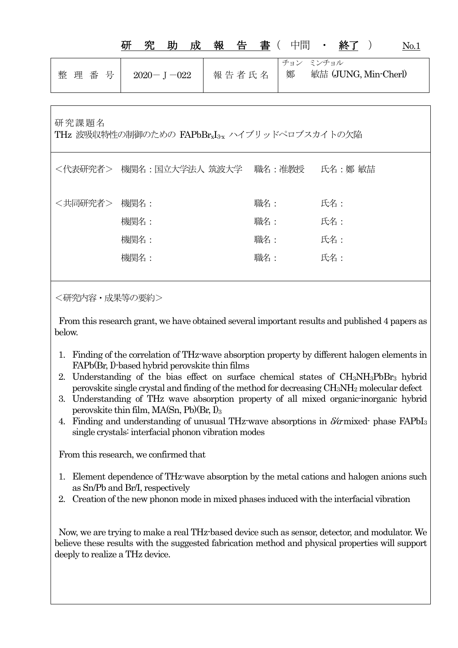|                                                                   | 成<br>助<br>究      | 報<br>告<br>書( | 中間<br>終了<br>$\bullet$ .                  | No.1 |
|-------------------------------------------------------------------|------------------|--------------|------------------------------------------|------|
| 整理番号                                                              | $2020 - J - 022$ | 報告者氏名        | チョン ミンチョル<br>敏喆 (JUNG, Min-Cherl)<br>鄭   |      |
| 研究課題名<br>THz 波吸収特性の制御のための FAPbBr <sub>xI3x</sub> ハイブリッドペロブスカイトの欠陥 |                  |              |                                          |      |
|                                                                   |                  |              | <代表研究者> 機関名:国立大学法人 筑波大学  職名:准教授  氏名:鄭 敏喆 |      |
| <共同研究者>                                                           | 機関名:             | 職名:          | 氏名:                                      |      |
|                                                                   | 機関名:             | 職名:          | 氏名:                                      |      |
|                                                                   | 機関名:             | 職名:          | 氏名:                                      |      |
|                                                                   | 機関名:             | 職名:          | 氏名:                                      |      |
|                                                                   |                  |              |                                          |      |

<研究内容・成果等の要約>

From this research grant, we have obtained several important results and published 4 papers as below.

- 1. Finding of the correlation of THz-wave absorption property by different halogen elements in FAPb(Br, I)-based hybrid perovskite thin films
- 2. Understanding of the bias effect on surface chemical states of CH3NH3PbBr3 hybrid perovskite single crystal and finding of the method for decreasing CH3NH2 molecular defect
- 3. Understanding of THz wave absorption property of all mixed organic-inorganic hybrid perovskite thin film, MA(Sn, Pb)(Br, I)<sub>3</sub>
- 4. Finding and understanding of unusual THz-wave absorptions in  $\delta/\alpha$  mixed-phase FAPbI<sub>3</sub> single crystals: interfacial phonon vibration modes

From this research, we confirmed that

- 1. Element dependence of THz-wave absorption by the metal cations and halogen anions such as Sn/Pb and Br/I, respectively
- 2. Creation of the new phonon mode in mixed phases induced with the interfacial vibration

Now, we are trying to make a real THz-based device such as sensor, detector, and modulator. We believe these results with the suggested fabrication method and physical properties will support deeply to realize a THz device.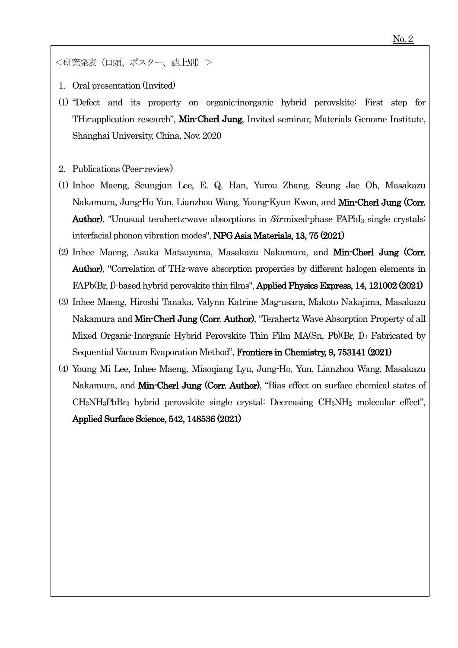<研究発表(口頭、ポスター、誌上別)>

- 1. Oral presentation (Invited)
- (1) "Defect and its property on organic-inorganic hybrid perovskite: First step for THz-application research", Min-Cherl Jung, Invited seminar, Materials Genome Institute, Shanghai University, China, Nov. 2020
- 2. Publications (Peer-review)
- (1) Inhee Maeng, Seungjun Lee, E. Q. Han, Yurou Zhang, Seung Jae Oh, Masakazu Nakamura, Jung-Ho Yun, Lianzhou Wang, Young-Kyun Kwon, and Min-Cherl Jung (Corr. Author), "Unusual terahertz-wave absorptions in  $\delta/\alpha$  mixed-phase FAPbI<sub>3</sub> single crystals: interfacial phonon vibration modes", NPG Asia Materials, 13, 75 (2021)
- (2) Inhee Maeng, Asuka Matsuyama, Masakazu Nakamura, and Min-Cherl Jung (Corr. Author), "Correlation of THz-wave absorption properties by different halogen elements in FAPb(Br, I)-based hybrid perovskite thin films", Applied Physics Express, 14, 121002 (2021)
- (3) Inhee Maeng, Hiroshi Tanaka, Valynn Katrine Mag-usara, Makoto Nakajima, Masakazu Nakamura and Min-Cherl Jung (Corr. Author), "Terahertz Wave Absorption Property of all Mixed Organic-Inorganic Hybrid Perovskite Thin Film MA(Sn, Pb)(Br, I)<sub>3</sub> Fabricated by Sequential Vacuum Evaporation Method", Frontiers in Chemistry, 9, 753141 (2021)
- (4) Young Mi Lee, Inhee Maeng, Miaoqiang Lyu, Jung-Ho, Yun, Lianzhou Wang, Masakazu Nakamura, and Min-Cherl Jung (Corr. Author), "Bias effect on surface chemical states of CH3NH3PbBr3 hybrid perovskite single crystal: Decreasing CH3NH2 molecular effect", Applied Surface Science, 542, 148536 (2021)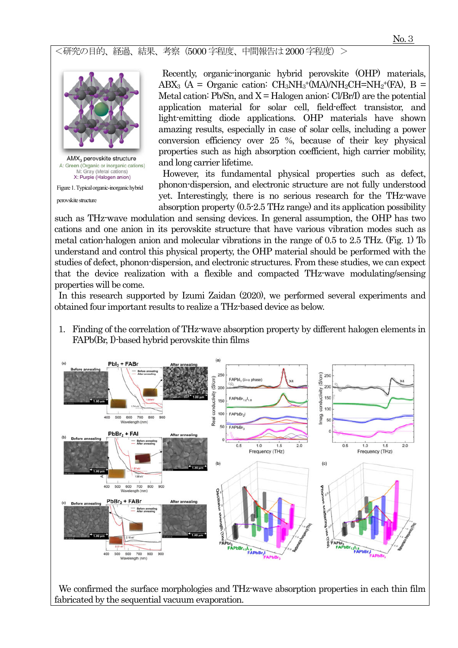<研究の目的、経過、結果、考察(5000 字程度、中間報告は2000 字程度)>



M: Gray (Metal cations) X: Purple (Halogen anion)

Figure 1. Typical organic-inorganic hybrid

perovskite structure

Recently, organic-inorganic hybrid perovskite (OHP) materials, ABX<sub>3</sub> (A = Organic cation: CH<sub>3</sub>NH<sub>3</sub><sup>+</sup>(MA)/NH<sub>2</sub>CH=NH<sub>2</sub><sup>+</sup>(FA), B = Metal cation: Pb/Sn, and  $X = H$ alogen anion: Cl/Br/I) are the potential application material for solar cell, field-effect transistor, and light-emitting diode applications. OHP materials have shown amazing results, especially in case of solar cells, including a power conversion efficiency over 25 %, because of their key physical properties such as high absorption coefficient, high carrier mobility, and long carrier lifetime.

However, its fundamental physical properties such as defect, phonon-dispersion, and electronic structure are not fully understood yet. Interestingly, there is no serious research for the THz-wave absorption property (0.5-2.5 THz range) and its application possibility

such as THz-wave modulation and sensing devices. In general assumption, the OHP has two cations and one anion in its perovskite structure that have various vibration modes such as metal cation-halogen anion and molecular vibrations in the range of 0.5 to 2.5 THz. (Fig. 1) To understand and control this physical property, the OHP material should be performed with the studies of defect, phonon-dispersion, and electronic structures. From these studies, we can expect that the device realization with a flexible and compacted THz-wave modulating/sensing properties will be come.

In this research supported by Izumi Zaidan (2020), we performed several experiments and obtained four important results to realize a THz-based device as below.

1. Finding of the correlation of THz-wave absorption property by different halogen elements in FAPb(Br, I)-based hybrid perovskite thin films



We confirmed the surface morphologies and THz-wave absorption properties in each thin film fabricated by the sequential vacuum evaporation.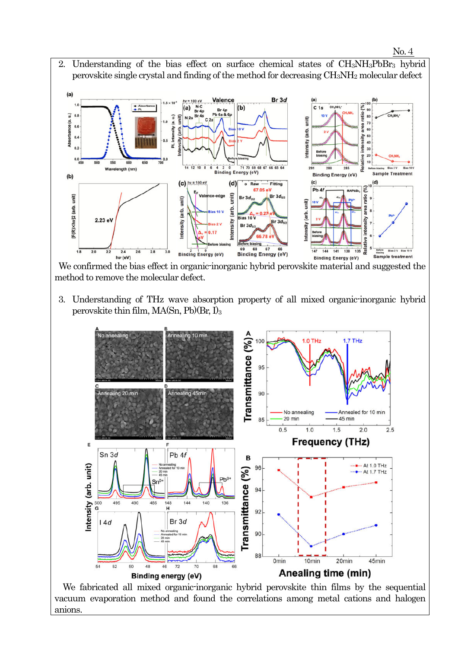

 $Br3c$ 

147

144 141 138

 $(a)$ 

Absorbance (a. u.)

 $(b)$ 

unit)

[F(R)Xhv]2 (arb.

 $1.8$ 

2.23 el

 $2.4$ 

 $3.0$ 

Binding Energy (eV)

 $0.6$ 

 $\alpha$ 

 $0.2$ 

69 68 67 66<br>Binding Energy (eV)  $hv$  (eV) ple treatment **Binding Energy (eV)** We confirmed the bias effect in organic-inorganic hybrid perovskite material and suggested the method to remove the molecular defect.

Br<sub>3d</sub>

Intensity

3. Understanding of THz wave absorption property of all mixed organic-inorganic hybrid perovskite thin film, MA(Sn, Pb)(Br, I)3



 We fabricated all mixed organic-inorganic hybrid perovskite thin films by the sequential vacuum evaporation method and found the correlations among metal cations and halogen anions.

nsity

135